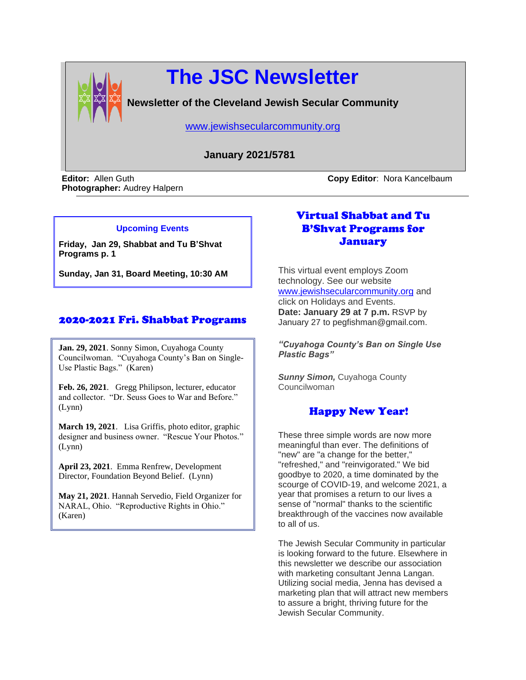

# **The JSC Newsletter**

**Newsletter of the Cleveland Jewish Secular Community**

[www.jewishsecularcommunity.org](file:///C:/Documents%20and%20Settings/Kim/My%20Documents/www.jewishsecularcommunity.org)

## **January 2021/5781**

**Photographer:** Audrey Halpern

**Editor:** Allen Guth **Copy Editor**: Nora Kancelbaum

#### **Upcoming Events**

**Friday, Jan 29, Shabbat and Tu B'Shvat Programs p. 1**

**Sunday, Jan 31, Board Meeting, 10:30 AM**

## 2020-2021 Fri. Shabbat Programs

**Jan. 29, 2021**. Sonny Simon, Cuyahoga County Councilwoman. "Cuyahoga County's Ban on Single-Use Plastic Bags." (Karen)

**Feb. 26, 2021**. Gregg Philipson, lecturer, educator and collector. "Dr. Seuss Goes to War and Before." (Lynn)

**March 19, 2021**. Lisa Griffis, photo editor, graphic designer and business owner. "Rescue Your Photos." (Lynn)

Director, Foundation Beyond Belief. (Lynn) **April 23, 2021**. Emma Renfrew, Development

**May 21, 2021**. Hannah Servedio, Field Organizer for NARAL, Ohio. "Reproductive Rights in Ohio." (Karen)

## Virtual Shabbat and Tu B'Shvat Programs for January

This virtual event employs Zoom technology. See our website [www.jewishsecularcommunity.org](http://www.jewishsecularcommunity.org/) and click on Holidays and Events. **Date: January 29 at 7 p.m.** RSVP by January 27 to pegfishman@gmail.com.

*"Cuyahoga County's Ban on Single Use Plastic Bags"*

*Sunny Simon,* Cuyahoga County Councilwoman

## Happy New Year!

These three simple words are now more meaningful than ever. The definitions of "new" are "a change for the better," "refreshed," and "reinvigorated." We bid goodbye to 2020, a time dominated by the scourge of COVID-19, and welcome 2021, a year that promises a return to our lives a sense of "normal" thanks to the scientific breakthrough of the vaccines now available to all of us.

The Jewish Secular Community in particular is looking forward to the future. Elsewhere in this newsletter we describe our association with marketing consultant Jenna Langan. Utilizing social media, Jenna has devised a marketing plan that will attract new members to assure a bright, thriving future for the Jewish Secular Community.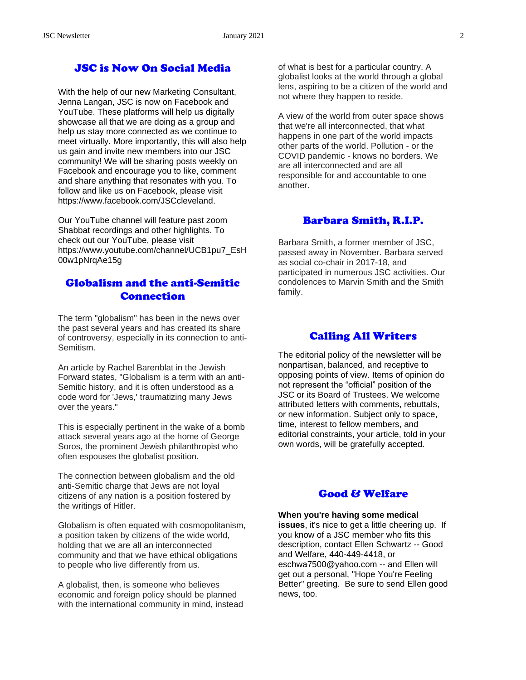#### JSC is Now On Social Media

With the help of our new Marketing Consultant, Jenna Langan, JSC is now on Facebook and YouTube. These platforms will help us digitally showcase all that we are doing as a group and help us stay more connected as we continue to meet virtually. More importantly, this will also help us gain and invite new members into our JSC community! We will be sharing posts weekly on Facebook and encourage you to like, comment and share anything that resonates with you. To follow and like us on Facebook, please visit https://www.facebook.com/JSCcleveland.

Our YouTube channel will feature past zoom Shabbat recordings and other highlights. To check out our YouTube, please visit https://www.youtube.com/channel/UCB1pu7\_EsH 00w1pNrqAe15g

### Globalism and the anti-Semitic Connection

The term "globalism" has been in the news over the past several years and has created its share of controversy, especially in its connection to anti-Semitism.

An article by Rachel Barenblat in the Jewish Forward states, "Globalism is a term with an anti-Semitic history, and it is often understood as a code word for 'Jews,' traumatizing many Jews over the years."

This is especially pertinent in the wake of a bomb attack several years ago at the home of George Soros, the prominent Jewish philanthropist who often espouses the globalist position.

The connection between globalism and the old anti-Semitic charge that Jews are not loyal citizens of any nation is a position fostered by the writings of Hitler.

Globalism is often equated with cosmopolitanism, a position taken by citizens of the wide world, holding that we are all an interconnected community and that we have ethical obligations to people who live differently from us.

A globalist, then, is someone who believes economic and foreign policy should be planned with the international community in mind, instead of what is best for a particular country. A globalist looks at the world through a global lens, aspiring to be a citizen of the world and not where they happen to reside.

A view of the world from outer space shows that we're all interconnected, that what happens in one part of the world impacts other parts of the world. Pollution - or the COVID pandemic - knows no borders. We are all interconnected and are all responsible for and accountable to one another.

#### Barbara Smith, R.I.P.

Barbara Smith, a former member of JSC, passed away in November. Barbara served as social co-chair in 2017-18, and participated in numerous JSC activities. Our condolences to Marvin Smith and the Smith family.

#### Calling All Writers

The editorial policy of the newsletter will be nonpartisan, balanced, and receptive to opposing points of view. Items of opinion do not represent the "official" position of the JSC or its Board of Trustees. We welcome attributed letters with comments, rebuttals, or new information. Subject only to space, time, interest to fellow members, and editorial constraints, your article, told in your own words, will be gratefully accepted.

### Good & Welfare

#### **When you're having some medical**

**issues**, it's nice to get a little cheering up. If you know of a JSC member who fits this description, contact Ellen Schwartz -- Good and Welfare, 440-449-4418, or eschwa7500@yahoo.com -- and Ellen will get out a personal, "Hope You're Feeling Better" greeting. Be sure to send Ellen good news, too.